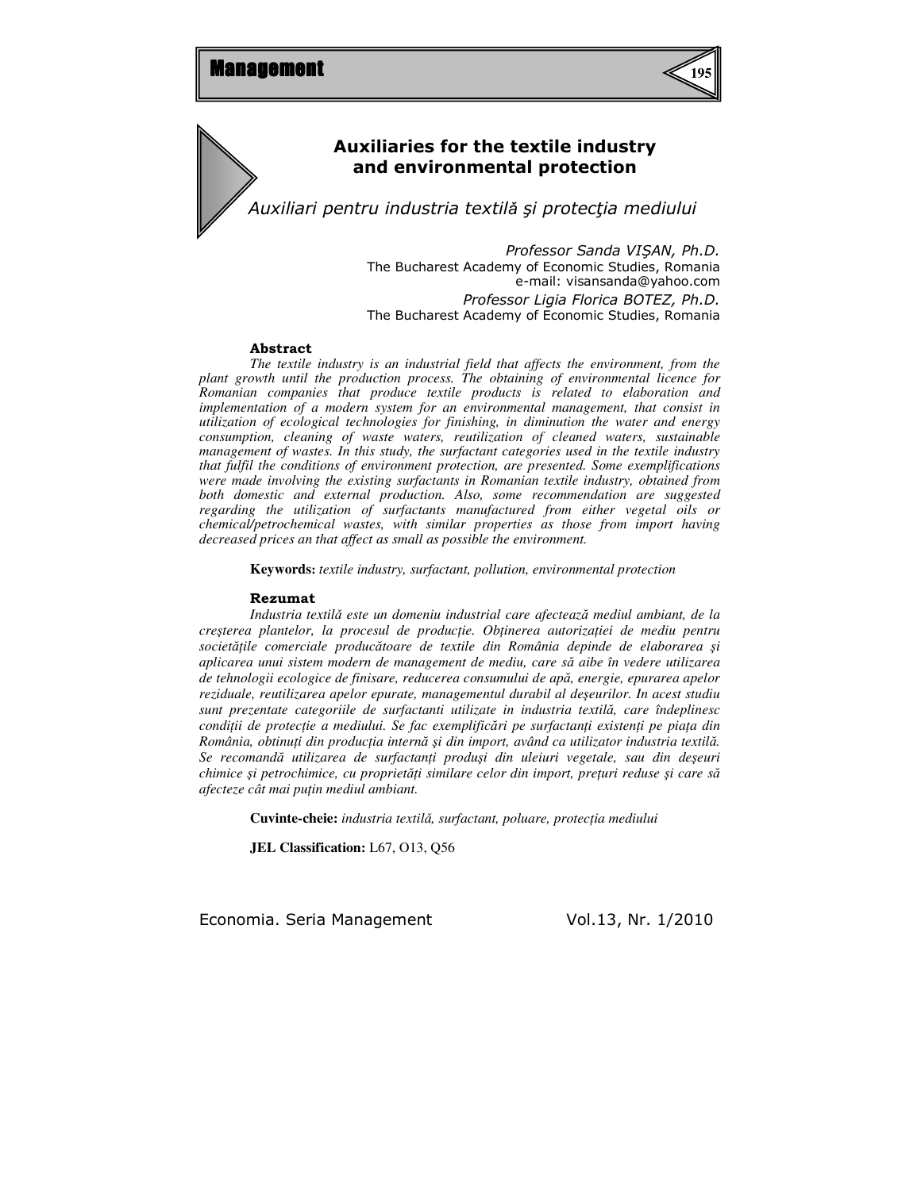

# Auxiliaries for the textile industry and environmental protection

Auxiliari pentru industria textilǎ şi protecţia mediului

Professor Sanda VIŞAN, Ph.D. The Bucharest Academy of Economic Studies, Romania e-mail: visansanda@yahoo.com Professor Ligia Florica BOTEZ, Ph.D. The Bucharest Academy of Economic Studies, Romania

#### Abstract

*The textile industry is an industrial field that affects the environment, from the plant growth until the production process. The obtaining of environmental licence for Romanian companies that produce textile products is related to elaboration and implementation of a modern system for an environmental management, that consist in utilization of ecological technologies for finishing, in diminution the water and energy consumption, cleaning of waste waters, reutilization of cleaned waters, sustainable management of wastes. In this study, the surfactant categories used in the textile industry that fulfil the conditions of environment protection, are presented. Some exemplifications were made involving the existing surfactants in Romanian textile industry, obtained from both domestic and external production. Also, some recommendation are suggested regarding the utilization of surfactants manufactured from either vegetal oils or chemical/petrochemical wastes, with similar properties as those from import having decreased prices an that affect as small as possible the environment.* 

**Keywords:** *textile industry, surfactant, pollution, environmental protection*

#### Rezumat

*Industria textil*ǎ *este un domeniu industrial care afecteaz*ă *mediul ambiant, de la cre*ş*terea plantelor, la procesul de produc*ţ*ie. Ob*ţ*inerea autoriza*ţ*iei de mediu pentru societ*ăţ*ile comerciale produc*ă*toare de textile din România depinde de elaborarea* ş*i aplicarea unui sistem modern de management de mediu, care s*ă *aibe în vedere utilizarea de tehnologii ecologice de finisare, reducerea consumului de ap*ă*, energie, epurarea apelor reziduale, reutilizarea apelor epurate, managementul durabil al de*ş*eurilor. In acest studiu sunt prezentate categoriile de surfactanti utilizate in industria textil*ă*, care îndeplinesc condi*ţ*ii de protec*ţ*ie a mediului. Se fac exemplific*ă*ri pe surfactan*ţ*i existen*ţ*i pe pia*ţ*a din România, obtinu*ţ*i din produc*ţ*ia intern*ă ş*i din import, având ca utilizator industria textil*ă*. Se recomand*ă *utilizarea de surfactan*ţ*i produ*ş*i din uleiuri vegetale, sau din de*ş*euri chimice* ş*i petrochimice, cu propriet*ăţ*i similare celor din import, pre*ţ*uri reduse* ş*i care s*ă *afecteze cât mai pu*ţ*in mediul ambiant.* 

**Cuvinte-cheie:** *industria textil*ǎ*, surfactant, poluare, protec*ţ*ia mediului* 

**JEL Classification:** L67, O13, Q56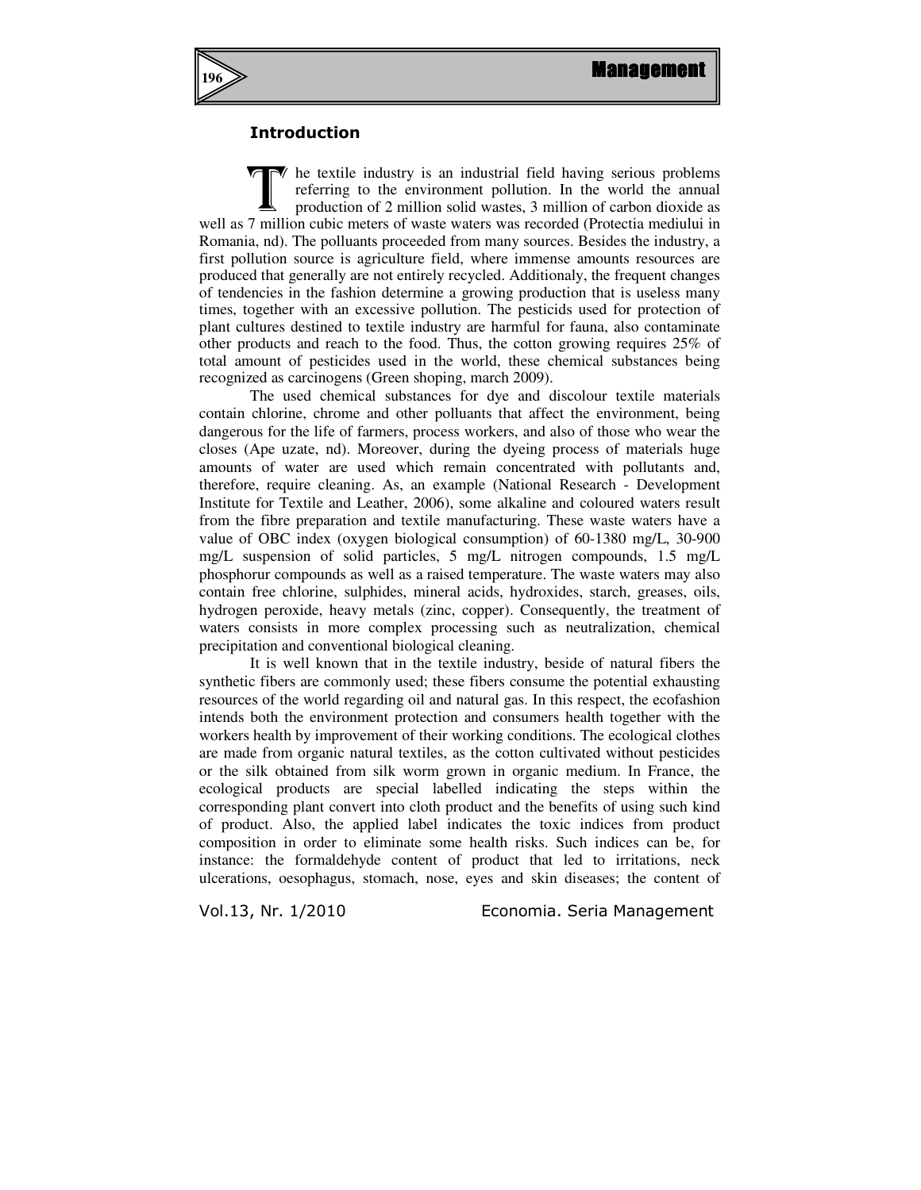

## Introduction

he textile industry is an industrial field having serious problems referring to the environment pollution. In the world the annual production of 2 million solid wastes, 3 million of carbon dioxide as well as 7 million cubic meters of waste waters was recorded (Protectia mediului in Romania, nd). The polluants proceeded from many sources. Besides the industry, a first pollution source is agriculture field, where immense amounts resources are produced that generally are not entirely recycled. Additionaly, the frequent changes of tendencies in the fashion determine a growing production that is useless many times, together with an excessive pollution. The pesticids used for protection of plant cultures destined to textile industry are harmful for fauna, also contaminate other products and reach to the food. Thus, the cotton growing requires 25% of total amount of pesticides used in the world, these chemical substances being recognized as carcinogens (Green shoping, march 2009). T

The used chemical substances for dye and discolour textile materials contain chlorine, chrome and other polluants that affect the environment, being dangerous for the life of farmers, process workers, and also of those who wear the closes (Ape uzate, nd). Moreover, during the dyeing process of materials huge amounts of water are used which remain concentrated with pollutants and, therefore, require cleaning. As, an example (National Research - Development Institute for Textile and Leather, 2006), some alkaline and coloured waters result from the fibre preparation and textile manufacturing. These waste waters have a value of OBC index (oxygen biological consumption) of 60-1380 mg/L, 30-900 mg/L suspension of solid particles, 5 mg/L nitrogen compounds, 1.5 mg/L phosphorur compounds as well as a raised temperature. The waste waters may also contain free chlorine, sulphides, mineral acids, hydroxides, starch, greases, oils, hydrogen peroxide, heavy metals (zinc, copper). Consequently, the treatment of waters consists in more complex processing such as neutralization, chemical precipitation and conventional biological cleaning.

It is well known that in the textile industry, beside of natural fibers the synthetic fibers are commonly used; these fibers consume the potential exhausting resources of the world regarding oil and natural gas. In this respect, the ecofashion intends both the environment protection and consumers health together with the workers health by improvement of their working conditions. The ecological clothes are made from organic natural textiles, as the cotton cultivated without pesticides or the silk obtained from silk worm grown in organic medium. In France, the ecological products are special labelled indicating the steps within the corresponding plant convert into cloth product and the benefits of using such kind of product. Also, the applied label indicates the toxic indices from product composition in order to eliminate some health risks. Such indices can be, for instance: the formaldehyde content of product that led to irritations, neck ulcerations, oesophagus, stomach, nose, eyes and skin diseases; the content of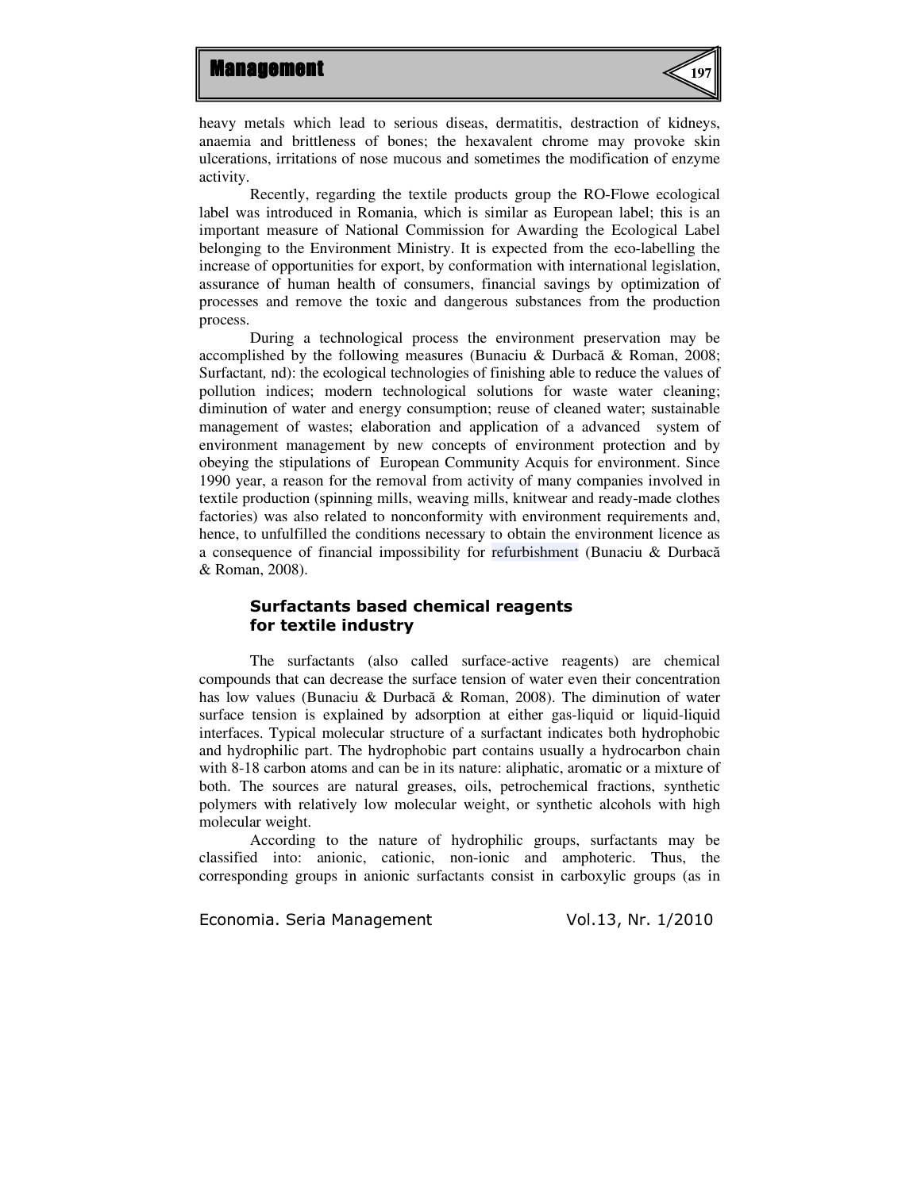

heavy metals which lead to serious diseas, dermatitis, destraction of kidneys, anaemia and brittleness of bones; the hexavalent chrome may provoke skin ulcerations, irritations of nose mucous and sometimes the modification of enzyme activity.

Recently, regarding the textile products group the RO-Flowe ecological label was introduced in Romania, which is similar as European label; this is an important measure of National Commission for Awarding the Ecological Label belonging to the Environment Ministry. It is expected from the eco-labelling the increase of opportunities for export, by conformation with international legislation, assurance of human health of consumers, financial savings by optimization of processes and remove the toxic and dangerous substances from the production process.

During a technological process the environment preservation may be accomplished by the following measures (Bunaciu & Durbacă & Roman, 2008; Surfactant*,* nd): the ecological technologies of finishing able to reduce the values of pollution indices; modern technological solutions for waste water cleaning; diminution of water and energy consumption; reuse of cleaned water; sustainable management of wastes; elaboration and application of a advanced system of environment management by new concepts of environment protection and by obeying the stipulations of European Community Acquis for environment. Since 1990 year, a reason for the removal from activity of many companies involved in textile production (spinning mills, weaving mills, knitwear and ready-made clothes factories) was also related to nonconformity with environment requirements and, hence, to unfulfilled the conditions necessary to obtain the environment licence as a consequence of financial impossibility for refurbishment (Bunaciu & Durbacă & Roman, 2008).

## Surfactants based chemical reagents for textile industry

The surfactants (also called surface-active reagents) are chemical compounds that can decrease the surface tension of water even their concentration has low values (Bunaciu & Durbacă & Roman, 2008). The diminution of water surface tension is explained by adsorption at either gas-liquid or liquid-liquid interfaces. Typical molecular structure of a surfactant indicates both hydrophobic and hydrophilic part. The hydrophobic part contains usually a hydrocarbon chain with 8-18 carbon atoms and can be in its nature: aliphatic, aromatic or a mixture of both. The sources are natural greases, oils, petrochemical fractions, synthetic polymers with relatively low molecular weight, or synthetic alcohols with high molecular weight.

According to the nature of hydrophilic groups, surfactants may be classified into: anionic, cationic, non-ionic and amphoteric. Thus, the corresponding groups in anionic surfactants consist in carboxylic groups (as in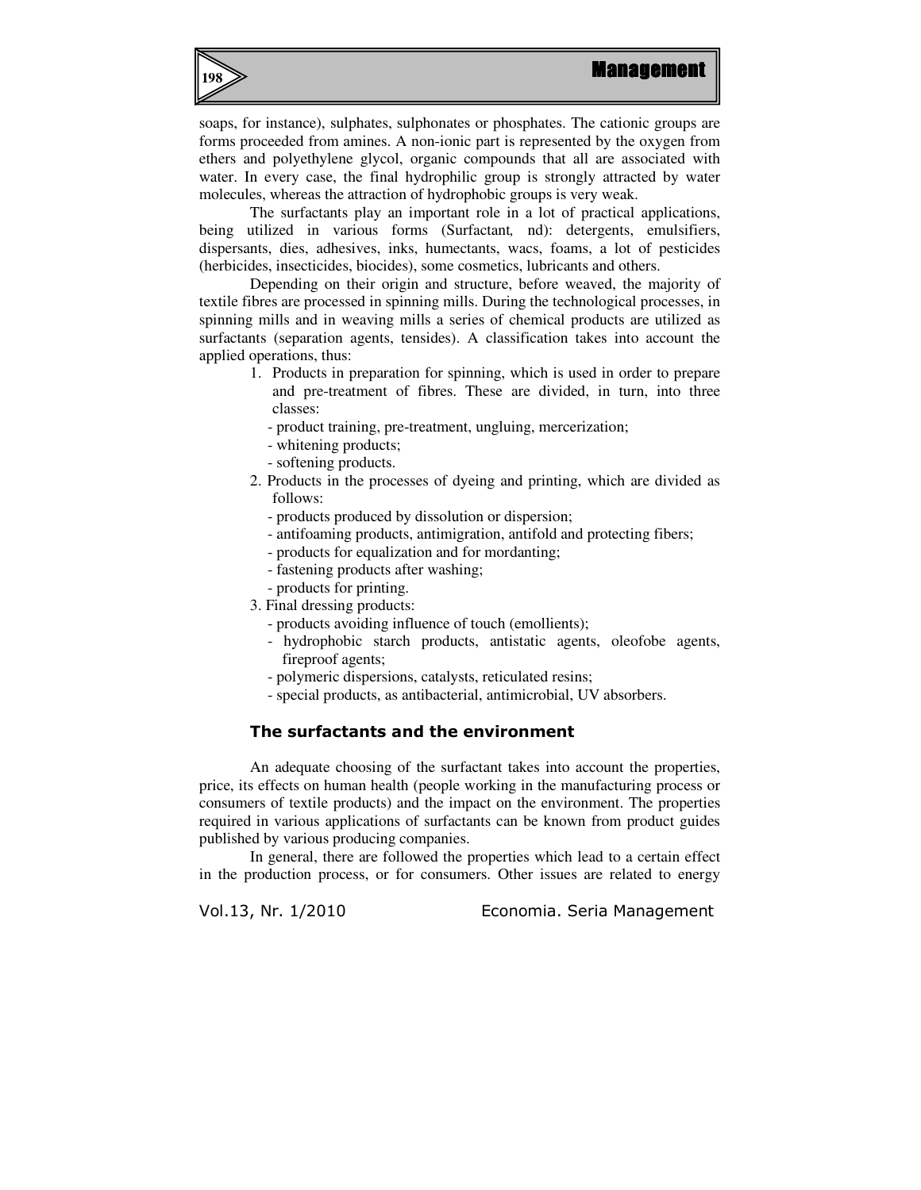

soaps, for instance), sulphates, sulphonates or phosphates. The cationic groups are forms proceeded from amines. A non-ionic part is represented by the oxygen from ethers and polyethylene glycol, organic compounds that all are associated with water. In every case, the final hydrophilic group is strongly attracted by water molecules, whereas the attraction of hydrophobic groups is very weak.

The surfactants play an important role in a lot of practical applications, being utilized in various forms (Surfactant*,* nd): detergents, emulsifiers, dispersants, dies, adhesives, inks, humectants, wacs, foams, a lot of pesticides (herbicides, insecticides, biocides), some cosmetics, lubricants and others.

Depending on their origin and structure, before weaved, the majority of textile fibres are processed in spinning mills. During the technological processes, in spinning mills and in weaving mills a series of chemical products are utilized as surfactants (separation agents, tensides). A classification takes into account the applied operations, thus:

- 1. Products in preparation for spinning, which is used in order to prepare and pre-treatment of fibres. These are divided, in turn, into three classes:
	- product training, pre-treatment, ungluing, mercerization;
	- whitening products;
	- softening products.
- 2. Products in the processes of dyeing and printing, which are divided as follows:
	- products produced by dissolution or dispersion;
	- antifoaming products, antimigration, antifold and protecting fibers;
	- products for equalization and for mordanting;
	- fastening products after washing;
	- products for printing.
- 3. Final dressing products:
	- products avoiding influence of touch (emollients);
	- hydrophobic starch products, antistatic agents, oleofobe agents, fireproof agents;
	- polymeric dispersions, catalysts, reticulated resins;
	- special products, as antibacterial, antimicrobial, UV absorbers.

## The surfactants and the environment

An adequate choosing of the surfactant takes into account the properties, price, its effects on human health (people working in the manufacturing process or consumers of textile products) and the impact on the environment. The properties required in various applications of surfactants can be known from product guides published by various producing companies.

In general, there are followed the properties which lead to a certain effect in the production process, or for consumers. Other issues are related to energy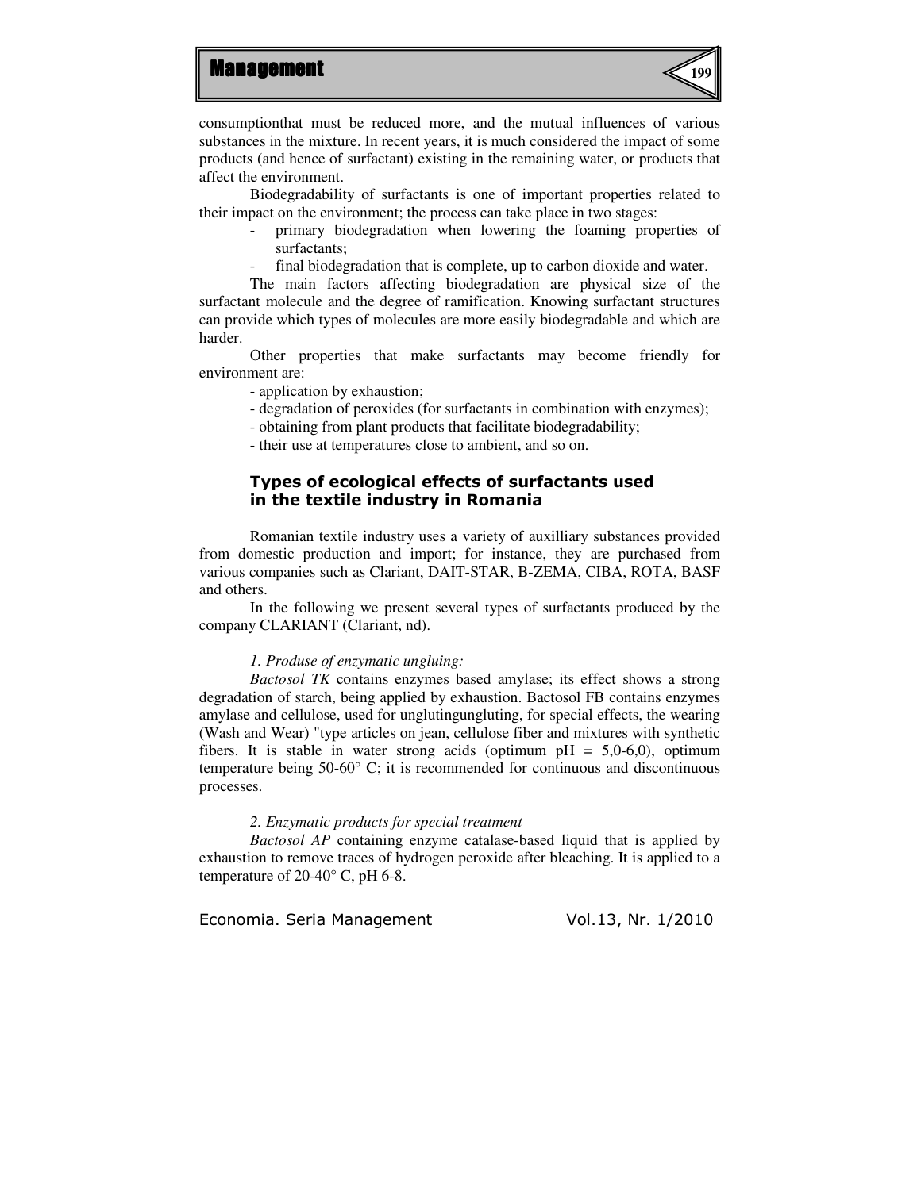

consumptionthat must be reduced more, and the mutual influences of various substances in the mixture. In recent years, it is much considered the impact of some products (and hence of surfactant) existing in the remaining water, or products that affect the environment.

Biodegradability of surfactants is one of important properties related to their impact on the environment; the process can take place in two stages:

- primary biodegradation when lowering the foaming properties of surfactants;
- final biodegradation that is complete, up to carbon dioxide and water.

The main factors affecting biodegradation are physical size of the surfactant molecule and the degree of ramification. Knowing surfactant structures can provide which types of molecules are more easily biodegradable and which are harder.

Other properties that make surfactants may become friendly for environment are:

- application by exhaustion;

- degradation of peroxides (for surfactants in combination with enzymes);
- obtaining from plant products that facilitate biodegradability;
- their use at temperatures close to ambient, and so on.

## Types of ecological effects of surfactants used in the textile industry in Romania

Romanian textile industry uses a variety of auxilliary substances provided from domestic production and import; for instance, they are purchased from various companies such as Clariant, DAIT-STAR, B-ZEMA, CIBA, ROTA, BASF and others.

In the following we present several types of surfactants produced by the company CLARIANT (Clariant, nd).

#### *1. Produse of enzymatic ungluing:*

*Bactosol TK* contains enzymes based amylase; its effect shows a strong degradation of starch, being applied by exhaustion. Bactosol FB contains enzymes amylase and cellulose, used for unglutingungluting, for special effects, the wearing (Wash and Wear) "type articles on jean, cellulose fiber and mixtures with synthetic fibers. It is stable in water strong acids (optimum  $pH = 5,0-6,0$ ), optimum temperature being 50-60° C; it is recommended for continuous and discontinuous processes.

#### *2. Enzymatic products for special treatment*

*Bactosol AP* containing enzyme catalase-based liquid that is applied by exhaustion to remove traces of hydrogen peroxide after bleaching. It is applied to a temperature of  $20-40^{\circ}$  C, pH 6-8.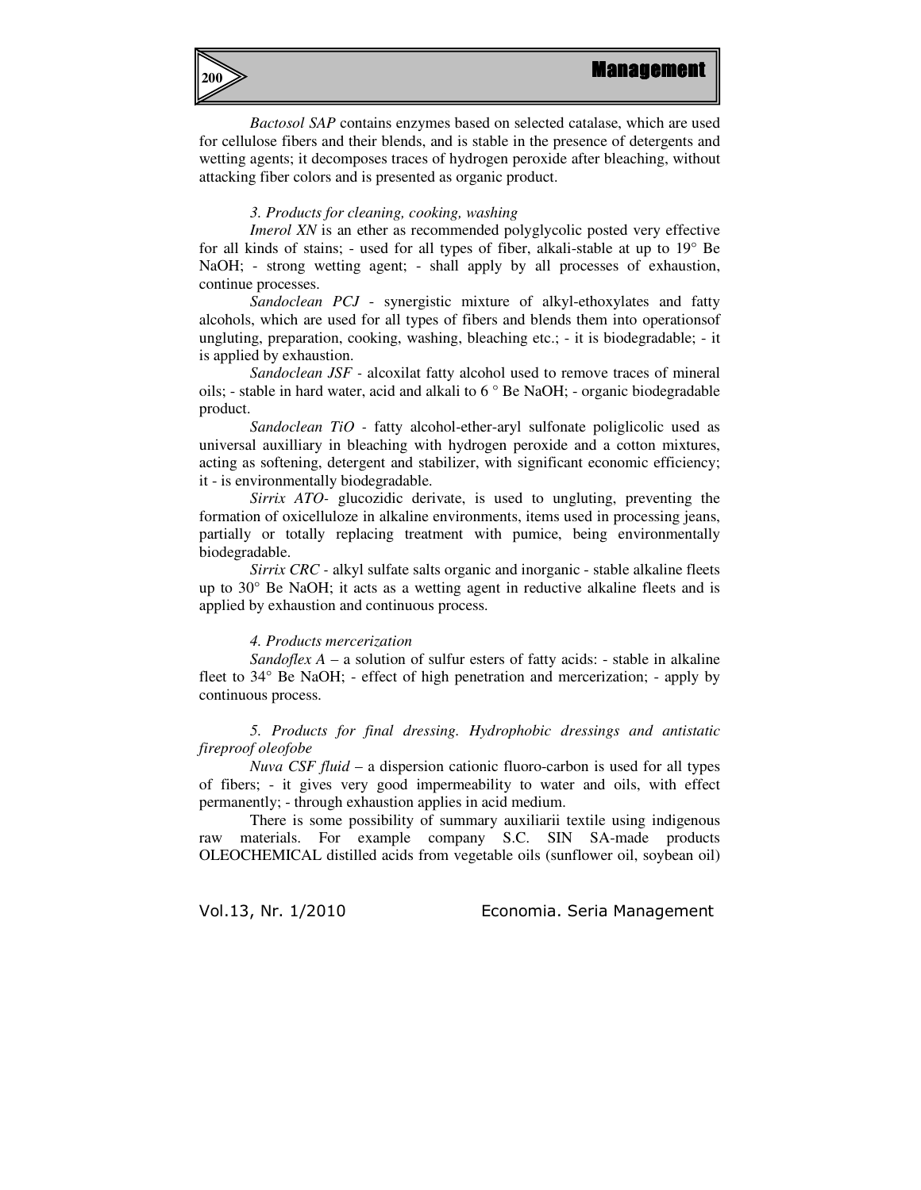

*Bactosol SAP* contains enzymes based on selected catalase, which are used for cellulose fibers and their blends, and is stable in the presence of detergents and wetting agents; it decomposes traces of hydrogen peroxide after bleaching, without attacking fiber colors and is presented as organic product.

#### *3. Products for cleaning, cooking, washing*

*Imerol XN* is an ether as recommended polyglycolic posted very effective for all kinds of stains; - used for all types of fiber, alkali-stable at up to 19° Be NaOH; - strong wetting agent; - shall apply by all processes of exhaustion, continue processes.

*Sandoclean PCJ* - synergistic mixture of alkyl-ethoxylates and fatty alcohols, which are used for all types of fibers and blends them into operationsof ungluting, preparation, cooking, washing, bleaching etc.; - it is biodegradable; - it is applied by exhaustion.

*Sandoclean JSF -* alcoxilat fatty alcohol used to remove traces of mineral oils; - stable in hard water, acid and alkali to 6 ° Be NaOH; - organic biodegradable product.

*Sandoclean TiO -* fatty alcohol-ether-aryl sulfonate poliglicolic used as universal auxilliary in bleaching with hydrogen peroxide and a cotton mixtures, acting as softening, detergent and stabilizer, with significant economic efficiency; it - is environmentally biodegradable.

*Sirrix ATO-* glucozidic derivate, is used to ungluting, preventing the formation of oxicelluloze in alkaline environments, items used in processing jeans, partially or totally replacing treatment with pumice, being environmentally biodegradable.

*Sirrix CRC -* alkyl sulfate salts organic and inorganic - stable alkaline fleets up to 30° Be NaOH; it acts as a wetting agent in reductive alkaline fleets and is applied by exhaustion and continuous process.

#### *4. Products mercerization*

*Sandoflex A – a solution of sulfur esters of fatty acids: - stable in alkaline* fleet to 34° Be NaOH; - effect of high penetration and mercerization; - apply by continuous process.

*5. Products for final dressing. Hydrophobic dressings and antistatic fireproof oleofobe* 

*Nuva CSF fluid* – a dispersion cationic fluoro-carbon is used for all types of fibers; - it gives very good impermeability to water and oils, with effect permanently; - through exhaustion applies in acid medium.

There is some possibility of summary auxiliarii textile using indigenous raw materials. For example company S.C. SIN SA-made products OLEOCHEMICAL distilled acids from vegetable oils (sunflower oil, soybean oil)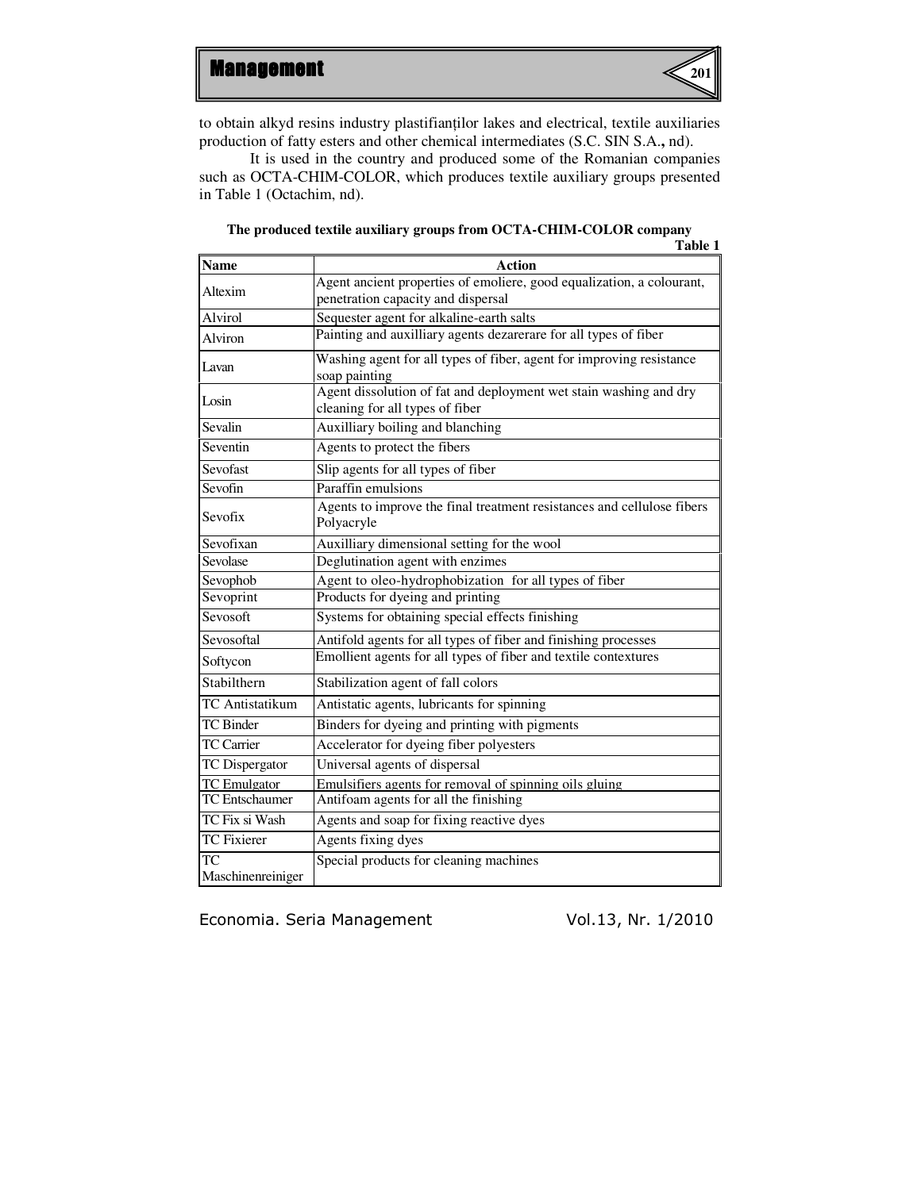

to obtain alkyd resins industry plastifianţilor lakes and electrical, textile auxiliaries production of fatty esters and other chemical intermediates (S.C. SIN S.A.**,** nd).

It is used in the country and produced some of the Romanian companies such as OCTA-CHIM-COLOR, which produces textile auxiliary groups presented in Table 1 (Octachim, nd).

|                        | Table 1                                                                                                     |  |  |
|------------------------|-------------------------------------------------------------------------------------------------------------|--|--|
| <b>Name</b>            | <b>Action</b>                                                                                               |  |  |
| Altexim                | Agent ancient properties of emoliere, good equalization, a colourant,<br>penetration capacity and dispersal |  |  |
| Alvirol                | Sequester agent for alkaline-earth salts                                                                    |  |  |
| Alviron                | Painting and auxilliary agents dezarerare for all types of fiber                                            |  |  |
| Lavan                  | Washing agent for all types of fiber, agent for improving resistance<br>soap painting                       |  |  |
| Losin                  | Agent dissolution of fat and deployment wet stain washing and dry<br>cleaning for all types of fiber        |  |  |
| Sevalin                | Auxilliary boiling and blanching                                                                            |  |  |
| Seventin               | Agents to protect the fibers                                                                                |  |  |
| Sevofast               | Slip agents for all types of fiber                                                                          |  |  |
| Sevofin                | Paraffin emulsions                                                                                          |  |  |
| Sevofix                | Agents to improve the final treatment resistances and cellulose fibers<br>Polyacryle                        |  |  |
| Sevofixan              | Auxilliary dimensional setting for the wool                                                                 |  |  |
| Sevolase               | Deglutination agent with enzimes                                                                            |  |  |
| Sevophob               | Agent to oleo-hydrophobization for all types of fiber                                                       |  |  |
| Sevoprint              | Products for dyeing and printing                                                                            |  |  |
| Sevosoft               | Systems for obtaining special effects finishing                                                             |  |  |
| Sevosoftal             | Antifold agents for all types of fiber and finishing processes                                              |  |  |
| Softycon               | Emollient agents for all types of fiber and textile contextures                                             |  |  |
| Stabilthern            | Stabilization agent of fall colors                                                                          |  |  |
| <b>TC</b> Antistatikum | Antistatic agents, lubricants for spinning                                                                  |  |  |
| <b>TC</b> Binder       | Binders for dyeing and printing with pigments                                                               |  |  |
| <b>TC</b> Carrier      | Accelerator for dyeing fiber polyesters                                                                     |  |  |
| TC Dispergator         | Universal agents of dispersal                                                                               |  |  |
| <b>TC</b> Emulgator    | Emulsifiers agents for removal of spinning oils gluing                                                      |  |  |
| <b>TC</b> Entschaumer  | Antifoam agents for all the finishing                                                                       |  |  |
| TC Fix si Wash         | Agents and soap for fixing reactive dyes                                                                    |  |  |
| <b>TC</b> Fixierer     | Agents fixing dyes                                                                                          |  |  |
| <b>TC</b>              | Special products for cleaning machines                                                                      |  |  |
| Maschinenreiniger      |                                                                                                             |  |  |

#### **The produced textile auxiliary groups from OCTA-CHIM-COLOR company**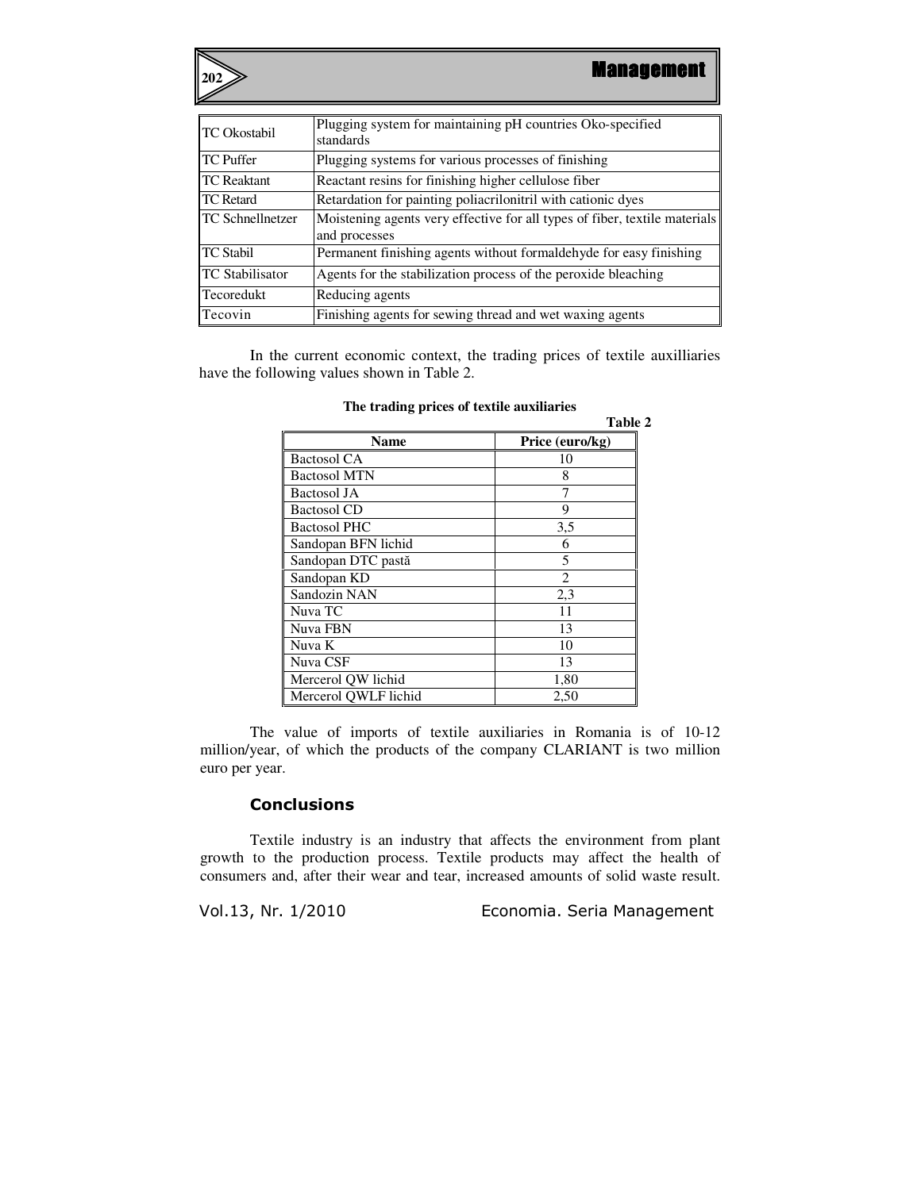**202**

| <b>TC</b> Okostabil     | Plugging system for maintaining pH countries Oko-specified<br>standards                     |  |
|-------------------------|---------------------------------------------------------------------------------------------|--|
| <b>TC Puffer</b>        | Plugging systems for various processes of finishing                                         |  |
| <b>TC</b> Reaktant      | Reactant resins for finishing higher cellulose fiber                                        |  |
| <b>TC</b> Retard        | Retardation for painting poliacrilonitril with cationic dyes                                |  |
| <b>TC Schnellnetzer</b> | Moistening agents very effective for all types of fiber, textile materials<br>and processes |  |
| <b>TC Stabil</b>        | Permanent finishing agents without formaldehyde for easy finishing                          |  |
| <b>TC</b> Stabilisator  | Agents for the stabilization process of the peroxide bleaching                              |  |
| Tecoredukt              | Reducing agents                                                                             |  |
| Tecovin                 | Finishing agents for sewing thread and wet waxing agents                                    |  |

In the current economic context, the trading prices of textile auxilliaries have the following values shown in Table 2.

|                      | Table 2         |
|----------------------|-----------------|
| Name                 | Price (euro/kg) |
| <b>Bactosol CA</b>   | 10              |
| <b>Bactosol MTN</b>  | 8               |
| <b>Bactosol JA</b>   |                 |
| <b>Bactosol CD</b>   | 9               |
| <b>Bactosol PHC</b>  | 3,5             |
| Sandopan BFN lichid  | 6               |
| Sandopan DTC pastă   | 5               |
| Sandopan KD          | $\overline{2}$  |
| Sandozin NAN         | 2,3             |
| Nuva TC              | 11              |
| Nuva FBN             | 13              |
| Nuva K               | 10              |
| Nuva CSF             | 13              |
| Mercerol QW lichid   | 1,80            |
| Mercerol QWLF lichid | 2,50            |

**The trading prices of textile auxiliaries** 

The value of imports of textile auxiliaries in Romania is of 10-12 million/year, of which the products of the company CLARIANT is two million euro per year.

## **Conclusions**

Textile industry is an industry that affects the environment from plant growth to the production process. Textile products may affect the health of consumers and, after their wear and tear, increased amounts of solid waste result.